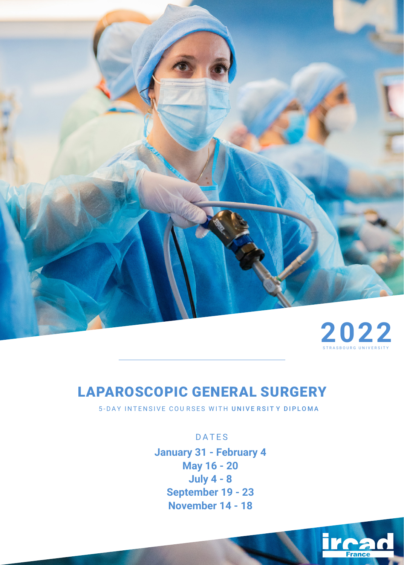

# **2022**

# LAPAROSCOPIC GENERAL SURGERY

5-DAY INTENSIVE COURSES WITH UNIVE RSITY DIPLOMA

# DATES

**January 31 - February 4 May 16 - 20 July 4 - 8 September 19 - 23 November 14 - 18**

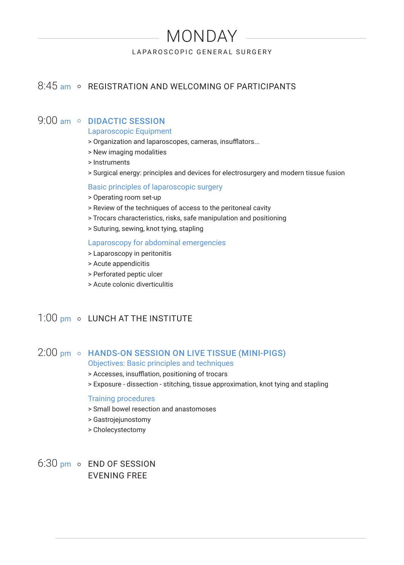# MONDAY

LAPAROSCOPIC GENERAL SURGERY

# 8:45 am • REGISTRATION AND WELCOMING OF PARTICIPANTS

## 9:00 am o DIDACTIC SESSION

Laparoscopic Equipment

- > Organization and laparoscopes, cameras, insufflators...
- > New imaging modalities
- > Instruments
- > Surgical energy: principles and devices for electrosurgery and modern tissue fusion

#### Basic principles of laparoscopic surgery

- > Operating room set-up
- > Review of the techniques of access to the peritoneal cavity
- > Trocars characteristics, risks, safe manipulation and positioning
- > Suturing, sewing, knot tying, stapling

#### Laparoscopy for abdominal emergencies

- > Laparoscopy in peritonitis
- > Acute appendicitis
- > Perforated peptic ulcer
- > Acute colonic diverticulitis

# 1:00 pm o LUNCH AT THE INSTITUTE

# 2:00 pm o HANDS-ON SESSION ON LIVE TISSUE (MINI-PIGS)

- Objectives: Basic principles and techniques
- > Accesses, insufflation, positioning of trocars
- > Exposure dissection stitching, tissue approximation, knot tying and stapling

#### Training procedures

- > Small bowel resection and anastomoses
- > Gastrojejunostomy
- > Cholecystectomy
- $6:30$  pm  $\circ$  END OF SESSION EVENING FREE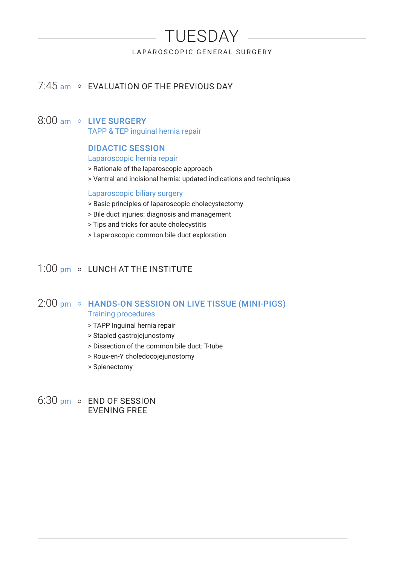# TUESDAY

LAPAROSCOPIC GENERAL SURGERY

# 7:45 am o EVALUATION OF THE PREVIOUS DAY

#### 8:00 am o LIVE SURGERY

TAPP & TEP inguinal hernia repair

#### DIDACTIC SESSION

#### Laparoscopic hernia repair

- > Rationale of the laparoscopic approach
- > Ventral and incisional hernia: updated indications and techniques

#### Laparoscopic biliary surgery

- > Basic principles of laparoscopic cholecystectomy
- > Bile duct injuries: diagnosis and management
- > Tips and tricks for acute cholecystitis
- > Laparoscopic common bile duct exploration

# 1:00 pm o LUNCH AT THE INSTITUTE

### 2:00 pm • HANDS-ON SESSION ON LIVE TISSUE (MINI-PIGS) Training procedures

- > TAPP Inguinal hernia repair
- > Stapled gastrojejunostomy
- > Dissection of the common bile duct: T-tube
- > Roux-en-Y choledocojejunostomy
- > Splenectomy

#### $6:30$  pm  $\circ$  END OF SESSION EVENING FREE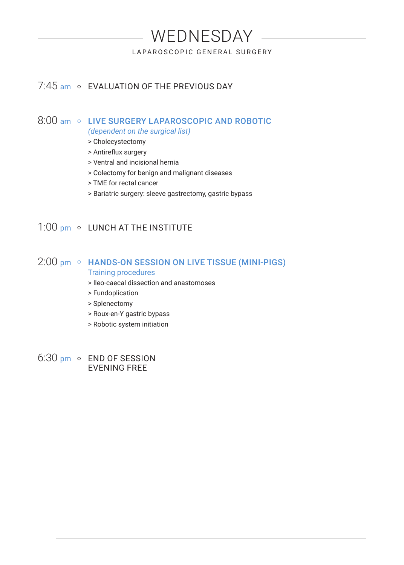# WEDNESDAY

LAPAROSCOPIC GENERAL SURGERY

# 7:45 am o EVALUATION OF THE PREVIOUS DAY

#### 8:00 am © LIVE SURGERY LAPAROSCOPIC AND ROBOTIC *(dependent on the surgical list)*

- > Cholecystectomy
- > Antireflux surgery
- > Ventral and incisional hernia
- > Colectomy for benign and malignant diseases
- > TME for rectal cancer
- > Bariatric surgery: sleeve gastrectomy, gastric bypass

# 1:00 pm o LUNCH AT THE INSTITUTE

### 2:00 pm • HANDS-ON SESSION ON LIVE TISSUE (MINI-PIGS) Training procedures

> Ileo-caecal dissection and anastomoses

- > Fundoplication
- > Splenectomy
- > Roux-en-Y gastric bypass
- > Robotic system initiation

6:30 pm o END OF SESSION EVENING FREE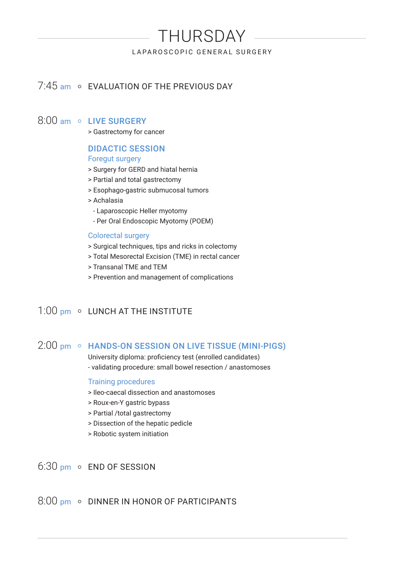# THURSDAY

LAPAROSCOPIC GENERAL SURGERY

# 7:45 am o EVALUATION OF THE PREVIOUS DAY

#### 8:00 am o LIVE SURGERY

> Gastrectomy for cancer

#### DIDACTIC SESSION

#### Foregut surgery

- > Surgery for GERD and hiatal hernia
- > Partial and total gastrectomy
- > Esophago-gastric submucosal tumors
- > Achalasia
	- Laparoscopic Heller myotomy
	- Per Oral Endoscopic Myotomy (POEM)

#### Colorectal surgery

- > Surgical techniques, tips and ricks in colectomy
- > Total Mesorectal Excision (TME) in rectal cancer
- > Transanal TME and TEM
- > Prevention and management of complications

# 1:00 pm o LUNCH AT THE INSTITUTE

### 2:00 pm • HANDS-ON SESSION ON LIVE TISSUE (MINI-PIGS)

University diploma: proficiency test (enrolled candidates) - validating procedure: small bowel resection / anastomoses

#### Training procedures

- > Ileo-caecal dissection and anastomoses
- > Roux-en-Y gastric bypass
- > Partial /total gastrectomy
- > Dissection of the hepatic pedicle
- > Robotic system initiation

# 6:30 pm o END OF SESSION

 $8:00 \text{ nm}$  o DINNER IN HONOR OF PARTICIPANTS